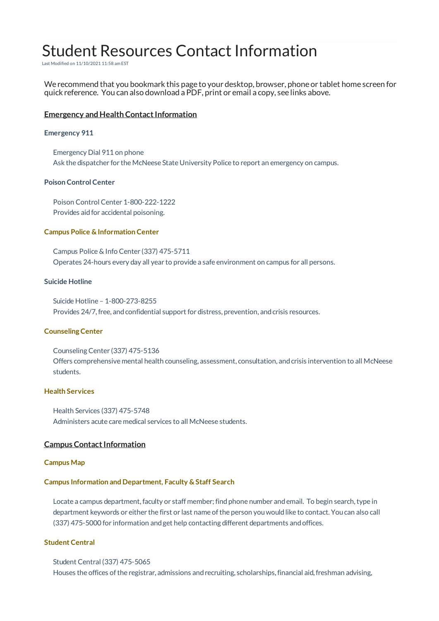# Student Resources Contact Information

Last Modified on 11/10/2021 11:58 am EST

We recommend that you bookmark this page to your desktop, browser, phone or tablet home screen for quick reference. You can also download a PDF, print or email a copy, see links above.

# **Emergency and Health Contact Information**

## **Emergency 911**

Emergency Dial 911 on phone Ask the dispatcher for the McNeese State University Police to report an emergency on campus.

# **Poison Control Center**

Poison Control Center 1-800-222-1222 Provides aid for accidental poisoning.

## **Campus Police & Information Center**

Campus Police& Info Center (337) 475-5711 Operates 24-hours every day all year to provide a safe environment on campus for all persons.

#### **Suicide Hotline**

Suicide Hotline – 1-800-273-8255 Provides 24/7, free, and confidential support for distress, prevention, and crisis resources.

#### **CounselingCenter**

Counseling Center (337) 475-5136 Offers comprehensive mental health counseling, assessment, consultation, andcrisis intervention to all McNeese students.

# **Health Services**

Health Services (337) 475-5748 Administers acute care medical services to all McNeese students.

# **Campus Contact Information**

#### **Campus Map**

# **Campus Information and Department, Faculty & Staff Search**

Locate a campus department, faculty or staff member; find phone number and email. To begin search, type in department keywords or either the first or last name of the person you would like to contact. You can also call (337) 475-5000 for information andget help contacting different departments andoffices.

# **Student Central**

Student Central (337) 475-5065 Houses the offices ofthe registrar, admissions andrecruiting, scholarships,financial aid,freshman advising,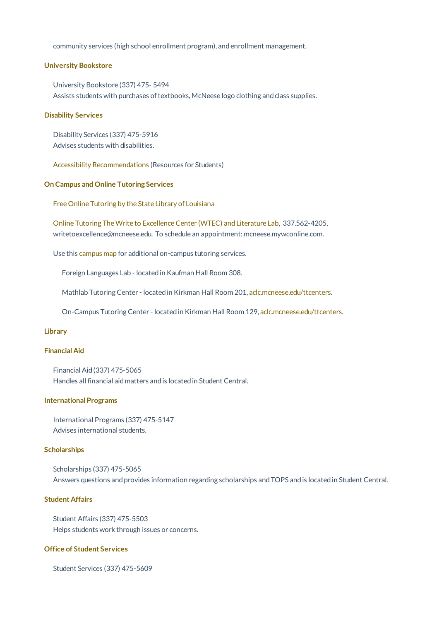community services (high school enrollment program), andenrollment management.

#### **University Bookstore**

University Bookstore (337) 475- 5494 Assists students with purchases of textbooks, McNeese logo clothing and class supplies.

#### **Disability Services**

Disability Services (337) 475-5916 Advises students with disabilities.

Accessibility Recommendations (Resources for Students)

# **On Campus and Online Tutoring Services**

Free Online Tutoring by the State Library of Louisiana

Online Tutoring TheWrite to ExcellenceCenter (WTEC) andLiterature Lab, 337.562-4205, writetoexcellence@mcneese.edu. To schedule an appointment: mcneese.mywconline.com.

Use this campus map for additional on-campus tutoring services.

Foreign Languages Lab - locatedin Kaufman Hall Room 308.

Mathlab Tutoring Center - located in Kirkman Hall Room 201, aclc.mcneese.edu/ttcenters.

On-Campus Tutoring Center - located in Kirkman Hall Room 129, aclc.mcneese.edu/ttcenters.

# **Library**

# **Financial Aid**

Financial Aid(337) 475-5065 Handles all financial aidmatters andis locatedin Student Central.

# **International Programs**

International Programs (337) 475-5147 Advises international students.

# **Scholarships**

Scholarships (337) 475-5065 Answers questions and provides information regarding scholarships and TOPS and is located in Student Central.

# **Student Affairs**

Student Affairs (337) 475-5503 Helps students work through issues or concerns.

# **Office of Student Services**

Student Services (337) 475-5609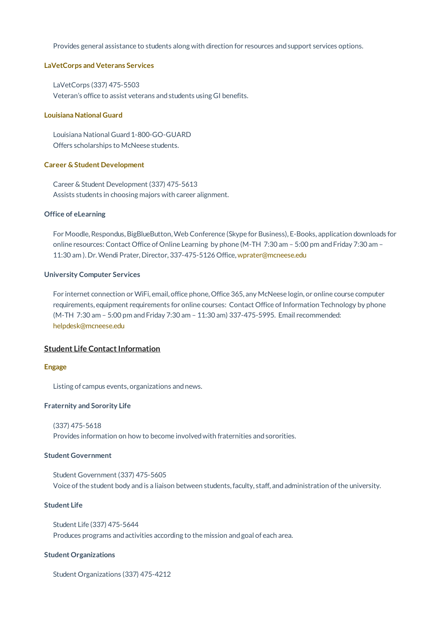Provides general assistance to students along with direction for resources andsupport services options.

#### **LaVetCorps and Veterans Services**

LaVetCorps (337) 475-5503 Veteran's office to assist veterans andstudents using GI benefits.

#### **Louisiana National Guard**

Louisiana National Guard 1-800-GO-GUARD Offers scholarships to McNeese students.

#### **Career & Student Development**

Career& Student Development (337) 475-5613 Assists students in choosing majors with career alignment.

#### **Office of eLearning**

For Moodle, Respondus, BigBlueButton,Web Conference (Skype for Business), E-Books, application downloads for online resources: Contact Office of Online Learning by phone (M-TH 7:30 am – 5:00 pm andFriday 7:30 am – 11:30 am ). Dr.Wendi Prater, Director, 337-475-5126 Office, wprater@mcneese.edu

#### **University Computer Services**

For internet connection orWiFi, email, office phone, Office 365, any McNeese login, or online course computer requirements, equipment requirements for online courses: Contact Office of Information Technology by phone (M-TH 7:30 am – 5:00 pm andFriday 7:30 am – 11:30 am) 337-475-5995. Email recommended: helpdesk@mcneese.edu

# **Student Life Contact Information**

#### **Engage**

Listing of campus events, organizations andnews.

#### **Fraternity and Sorority Life**

```
(337) 475-5618
```
Provides information on how to become involvedwith fraternities andsororities.

# **Student Government**

Student Government (337) 475-5605 Voice ofthe student body andis a liaison between students,faculty, staff, andadministration ofthe university.

## **Student Life**

Student Life (337) 475-5644 Produces programs and activities according to the mission and goal of each area.

## **Student Organizations**

Student Organizations (337) 475-4212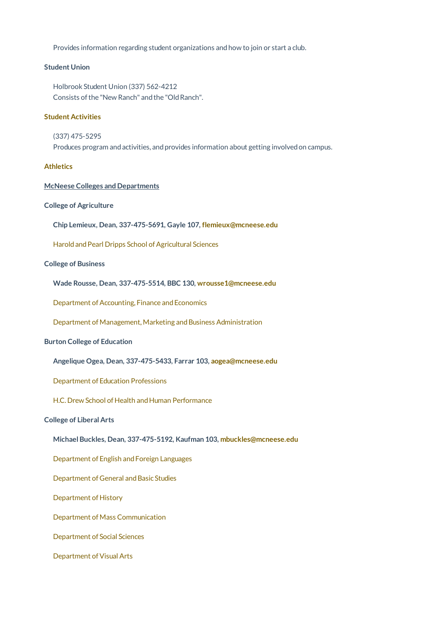Provides information regarding student organizations andhow to join or start a club.

## **Student Union**

Holbrook Student Union (337) 562-4212 Consists of the "New Ranch" and the "Old Ranch".

# **Student Activities**

(337) 475-5295 Produces program and activities, and provides information about getting involved on campus.

# **Athletics**

#### **McNeese Colleges and Departments**

# **College of Agriculture**

**Chip Lemieux, Dean, 337-475-5691, Gayle 107, flemieux@mcneese.edu**

Harold and Pearl Dripps School of Agricultural Sciences

# **College of Business**

**Wade Rousse, Dean, 337-475-5514, BBC 130, wrousse1@mcneese.edu**

Department of Accounting, Finance and Economics

Department of Management, Marketing and Business Administration

## **Burton College of Education**

**Angelique Ogea, Dean, 337-475-5433, Farrar 103, aogea@mcneese.edu**

Department of Education Professions

H.C. Drew School of Health and Human Performance

# **College of Liberal Arts**

**Michael Buckles, Dean, 337-475-5192, Kaufman 103, mbuckles@mcneese.edu**

Department of English and Foreign Languages

Department of General and Basic Studies

Department of History

Department of Mass Communication

Department of Social Sciences

Department of Visual Arts